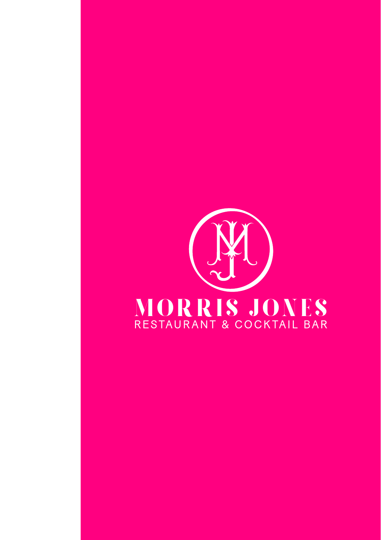